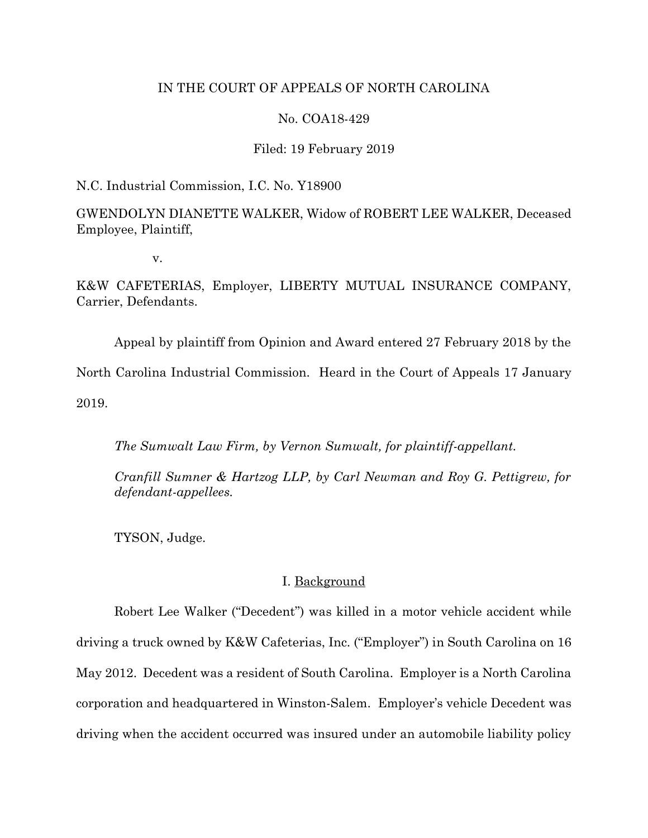## IN THE COURT OF APPEALS OF NORTH CAROLINA

## No. COA18-429

#### Filed: 19 February 2019

N.C. Industrial Commission, I.C. No. Y18900

GWENDOLYN DIANETTE WALKER, Widow of ROBERT LEE WALKER, Deceased Employee, Plaintiff,

v.

K&W CAFETERIAS, Employer, LIBERTY MUTUAL INSURANCE COMPANY, Carrier, Defendants.

Appeal by plaintiff from Opinion and Award entered 27 February 2018 by the North Carolina Industrial Commission. Heard in the Court of Appeals 17 January

2019.

*The Sumwalt Law Firm, by Vernon Sumwalt, for plaintiff-appellant.*

*Cranfill Sumner & Hartzog LLP, by Carl Newman and Roy G. Pettigrew, for defendant-appellees.*

TYSON, Judge.

### I. Background

Robert Lee Walker ("Decedent") was killed in a motor vehicle accident while driving a truck owned by K&W Cafeterias, Inc. ("Employer") in South Carolina on 16 May 2012. Decedent was a resident of South Carolina. Employer is a North Carolina corporation and headquartered in Winston-Salem. Employer's vehicle Decedent was driving when the accident occurred was insured under an automobile liability policy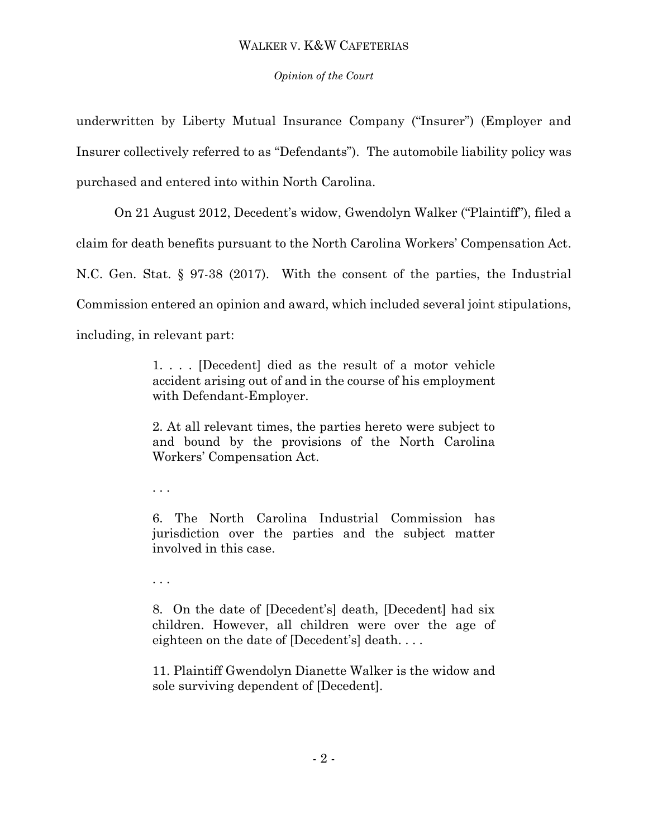## *Opinion of the Court*

underwritten by Liberty Mutual Insurance Company ("Insurer") (Employer and Insurer collectively referred to as "Defendants"). The automobile liability policy was purchased and entered into within North Carolina.

On 21 August 2012, Decedent's widow, Gwendolyn Walker ("Plaintiff"), filed a claim for death benefits pursuant to the North Carolina Workers' Compensation Act. N.C. Gen. Stat. § 97-38 (2017). With the consent of the parties, the Industrial Commission entered an opinion and award, which included several joint stipulations,

including, in relevant part:

1. . . . [Decedent] died as the result of a motor vehicle accident arising out of and in the course of his employment with Defendant-Employer.

2. At all relevant times, the parties hereto were subject to and bound by the provisions of the North Carolina Workers' Compensation Act.

. . .

6. The North Carolina Industrial Commission has jurisdiction over the parties and the subject matter involved in this case.

. . .

8. On the date of [Decedent's] death, [Decedent] had six children. However, all children were over the age of eighteen on the date of [Decedent's] death. . . .

11. Plaintiff Gwendolyn Dianette Walker is the widow and sole surviving dependent of [Decedent].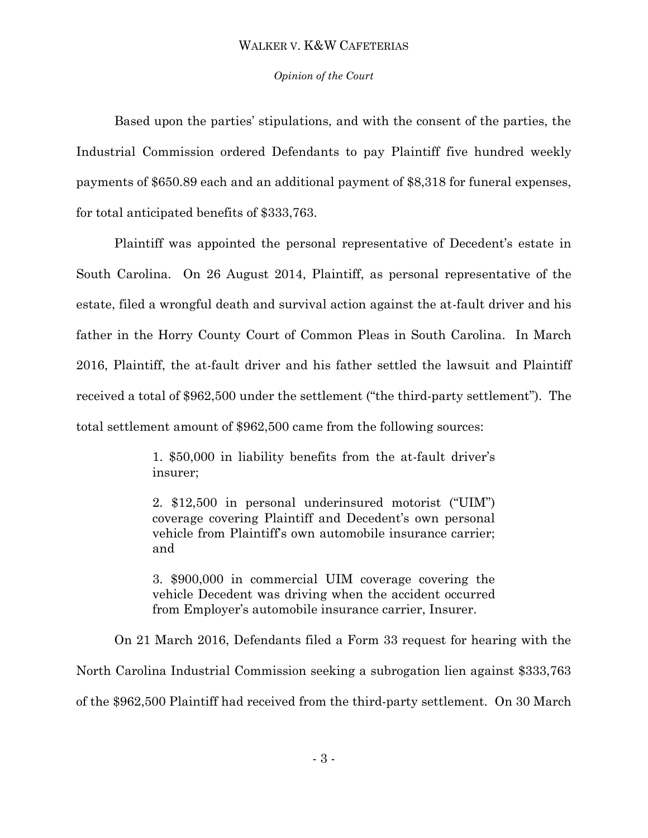### *Opinion of the Court*

Based upon the parties' stipulations, and with the consent of the parties, the Industrial Commission ordered Defendants to pay Plaintiff five hundred weekly payments of \$650.89 each and an additional payment of \$8,318 for funeral expenses, for total anticipated benefits of \$333,763.

Plaintiff was appointed the personal representative of Decedent's estate in South Carolina. On 26 August 2014, Plaintiff, as personal representative of the estate, filed a wrongful death and survival action against the at-fault driver and his father in the Horry County Court of Common Pleas in South Carolina. In March 2016, Plaintiff, the at-fault driver and his father settled the lawsuit and Plaintiff received a total of \$962,500 under the settlement ("the third-party settlement"). The total settlement amount of \$962,500 came from the following sources:

> 1. \$50,000 in liability benefits from the at-fault driver's insurer;

> 2. \$12,500 in personal underinsured motorist ("UIM") coverage covering Plaintiff and Decedent's own personal vehicle from Plaintiff's own automobile insurance carrier; and

> 3. \$900,000 in commercial UIM coverage covering the vehicle Decedent was driving when the accident occurred from Employer's automobile insurance carrier, Insurer.

On 21 March 2016, Defendants filed a Form 33 request for hearing with the North Carolina Industrial Commission seeking a subrogation lien against \$333,763 of the \$962,500 Plaintiff had received from the third-party settlement. On 30 March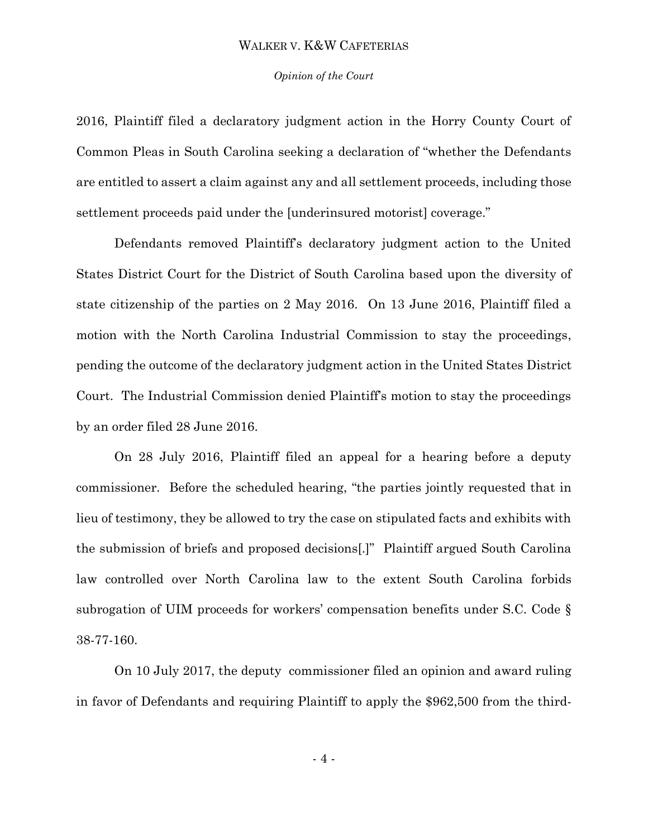#### *Opinion of the Court*

2016, Plaintiff filed a declaratory judgment action in the Horry County Court of Common Pleas in South Carolina seeking a declaration of "whether the Defendants are entitled to assert a claim against any and all settlement proceeds, including those settlement proceeds paid under the [underinsured motorist] coverage."

Defendants removed Plaintiff's declaratory judgment action to the United States District Court for the District of South Carolina based upon the diversity of state citizenship of the parties on 2 May 2016. On 13 June 2016, Plaintiff filed a motion with the North Carolina Industrial Commission to stay the proceedings, pending the outcome of the declaratory judgment action in the United States District Court. The Industrial Commission denied Plaintiff's motion to stay the proceedings by an order filed 28 June 2016.

On 28 July 2016, Plaintiff filed an appeal for a hearing before a deputy commissioner. Before the scheduled hearing, "the parties jointly requested that in lieu of testimony, they be allowed to try the case on stipulated facts and exhibits with the submission of briefs and proposed decisions[.]" Plaintiff argued South Carolina law controlled over North Carolina law to the extent South Carolina forbids subrogation of UIM proceeds for workers' compensation benefits under S.C. Code § 38-77-160.

On 10 July 2017, the deputy commissioner filed an opinion and award ruling in favor of Defendants and requiring Plaintiff to apply the \$962,500 from the third-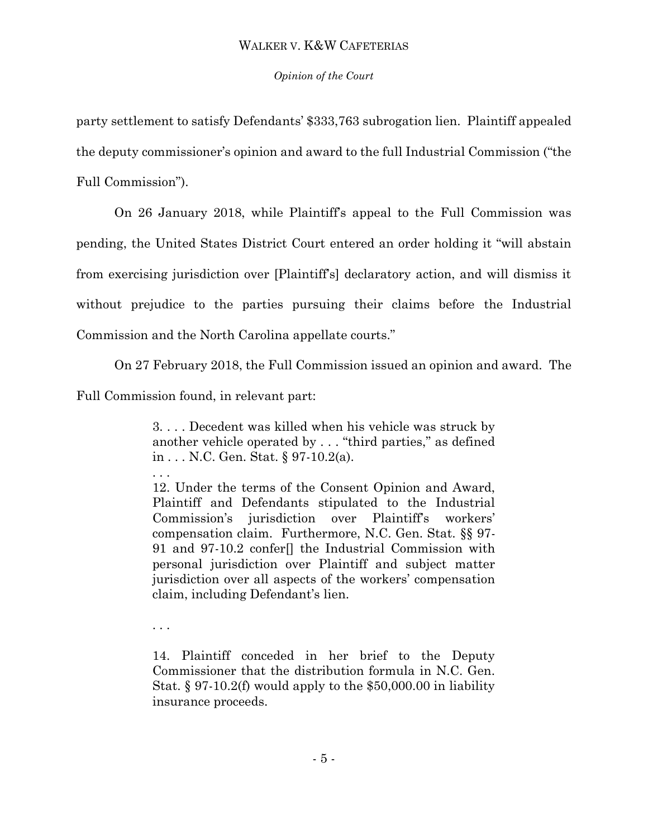## *Opinion of the Court*

party settlement to satisfy Defendants' \$333,763 subrogation lien. Plaintiff appealed the deputy commissioner's opinion and award to the full Industrial Commission ("the

Full Commission").

On 26 January 2018, while Plaintiff's appeal to the Full Commission was pending, the United States District Court entered an order holding it "will abstain from exercising jurisdiction over [Plaintiff's] declaratory action, and will dismiss it without prejudice to the parties pursuing their claims before the Industrial Commission and the North Carolina appellate courts."

On 27 February 2018, the Full Commission issued an opinion and award. The

Full Commission found, in relevant part:

3. . . . Decedent was killed when his vehicle was struck by another vehicle operated by . . . "third parties," as defined in . . . N.C. Gen. Stat. § 97-10.2(a).

. . . 12. Under the terms of the Consent Opinion and Award, Plaintiff and Defendants stipulated to the Industrial Commission's jurisdiction over Plaintiff's workers' compensation claim. Furthermore, N.C. Gen. Stat. §§ 97- 91 and 97-10.2 confer[] the Industrial Commission with personal jurisdiction over Plaintiff and subject matter jurisdiction over all aspects of the workers' compensation claim, including Defendant's lien.

. . .

14. Plaintiff conceded in her brief to the Deputy Commissioner that the distribution formula in N.C. Gen. Stat. § 97-10.2(f) would apply to the \$50,000.00 in liability insurance proceeds.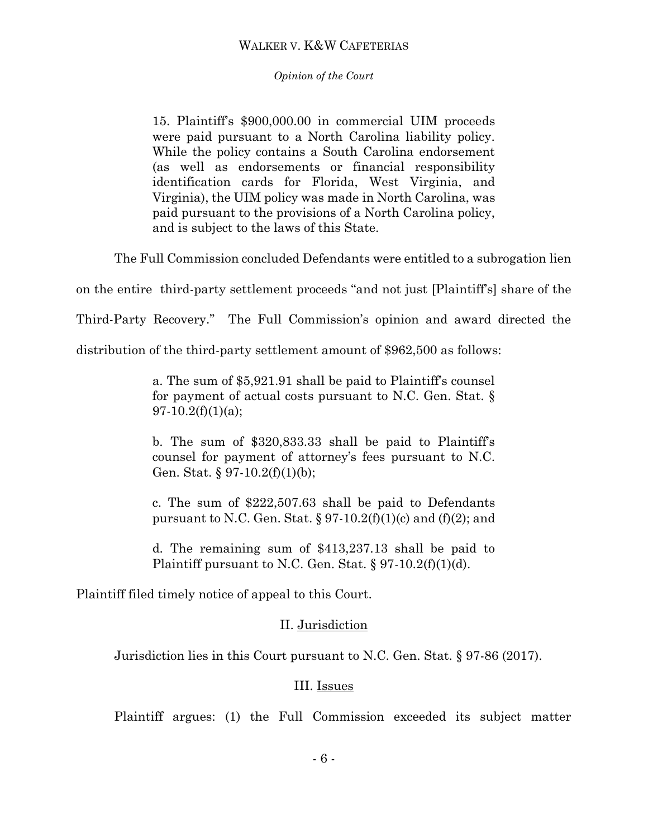### *Opinion of the Court*

15. Plaintiff's \$900,000.00 in commercial UIM proceeds were paid pursuant to a North Carolina liability policy. While the policy contains a South Carolina endorsement (as well as endorsements or financial responsibility identification cards for Florida, West Virginia, and Virginia), the UIM policy was made in North Carolina, was paid pursuant to the provisions of a North Carolina policy, and is subject to the laws of this State.

The Full Commission concluded Defendants were entitled to a subrogation lien

on the entire third-party settlement proceeds "and not just [Plaintiff's] share of the

Third-Party Recovery." The Full Commission's opinion and award directed the

distribution of the third-party settlement amount of \$962,500 as follows:

a. The sum of \$5,921.91 shall be paid to Plaintiff's counsel for payment of actual costs pursuant to N.C. Gen. Stat. §  $97-10.2(f)(1)(a);$ 

b. The sum of \$320,833.33 shall be paid to Plaintiff's counsel for payment of attorney's fees pursuant to N.C. Gen. Stat.  $\S 97-10.2(f)(1)(b);$ 

c. The sum of \$222,507.63 shall be paid to Defendants pursuant to N.C. Gen. Stat. § 97-10.2(f)(1)(c) and (f)(2); and

d. The remaining sum of \$413,237.13 shall be paid to Plaintiff pursuant to N.C. Gen. Stat.  $\S 97-10.2(f)(1)(d)$ .

Plaintiff filed timely notice of appeal to this Court.

## II. Jurisdiction

Jurisdiction lies in this Court pursuant to N.C. Gen. Stat. § 97-86 (2017).

## III. Issues

Plaintiff argues: (1) the Full Commission exceeded its subject matter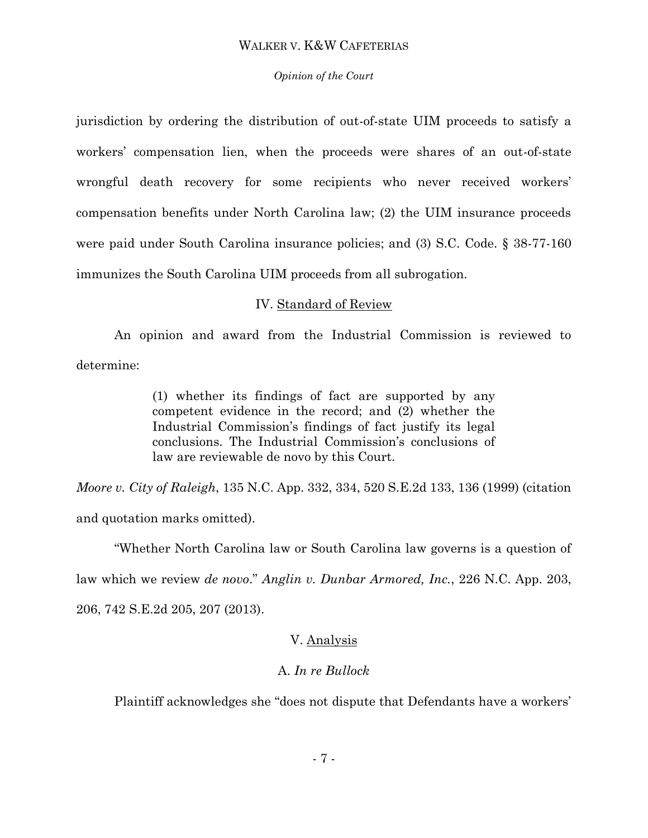#### *Opinion of the Court*

jurisdiction by ordering the distribution of out-of-state UIM proceeds to satisfy a workers' compensation lien, when the proceeds were shares of an out-of-state wrongful death recovery for some recipients who never received workers' compensation benefits under North Carolina law; (2) the UIM insurance proceeds were paid under South Carolina insurance policies; and (3) S.C. Code. § 38-77-160 immunizes the South Carolina UIM proceeds from all subrogation.

### IV. Standard of Review

An opinion and award from the Industrial Commission is reviewed to determine:

> (1) whether its findings of fact are supported by any competent evidence in the record; and (2) whether the Industrial Commission's findings of fact justify its legal conclusions. The Industrial Commission's conclusions of law are reviewable de novo by this Court.

*Moore v. City of Raleigh*, 135 N.C. App. 332, 334, 520 S.E.2d 133, 136 (1999) (citation and quotation marks omitted).

"Whether North Carolina law or South Carolina law governs is a question of law which we review *de novo*." *Anglin v. Dunbar Armored, Inc.*, 226 N.C. App. 203, 206, 742 S.E.2d 205, 207 (2013).

## V. Analysis

## A. *In re Bullock*

Plaintiff acknowledges she "does not dispute that Defendants have a workers'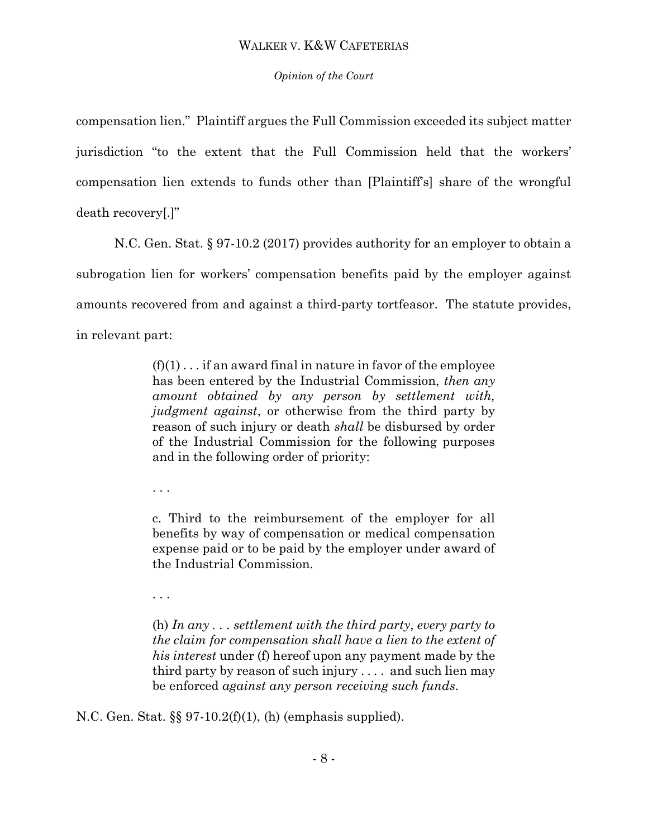## *Opinion of the Court*

compensation lien." Plaintiff argues the Full Commission exceeded its subject matter jurisdiction "to the extent that the Full Commission held that the workers' compensation lien extends to funds other than [Plaintiff's] share of the wrongful death recovery[.]"

N.C. Gen. Stat. § 97-10.2 (2017) provides authority for an employer to obtain a subrogation lien for workers' compensation benefits paid by the employer against amounts recovered from and against a third-party tortfeasor. The statute provides, in relevant part:

> $(f)(1)$ ... if an award final in nature in favor of the employee has been entered by the Industrial Commission, *then any amount obtained by any person by settlement with, judgment against*, or otherwise from the third party by reason of such injury or death *shall* be disbursed by order of the Industrial Commission for the following purposes and in the following order of priority:

. . .

c. Third to the reimbursement of the employer for all benefits by way of compensation or medical compensation expense paid or to be paid by the employer under award of the Industrial Commission.

. . .

(h) *In any . . . settlement with the third party, every party to the claim for compensation shall have a lien to the extent of his interest* under (f) hereof upon any payment made by the third party by reason of such injury . . . . and such lien may be enforced *against any person receiving such funds*.

N.C. Gen. Stat. §§ 97-10.2(f)(1), (h) (emphasis supplied).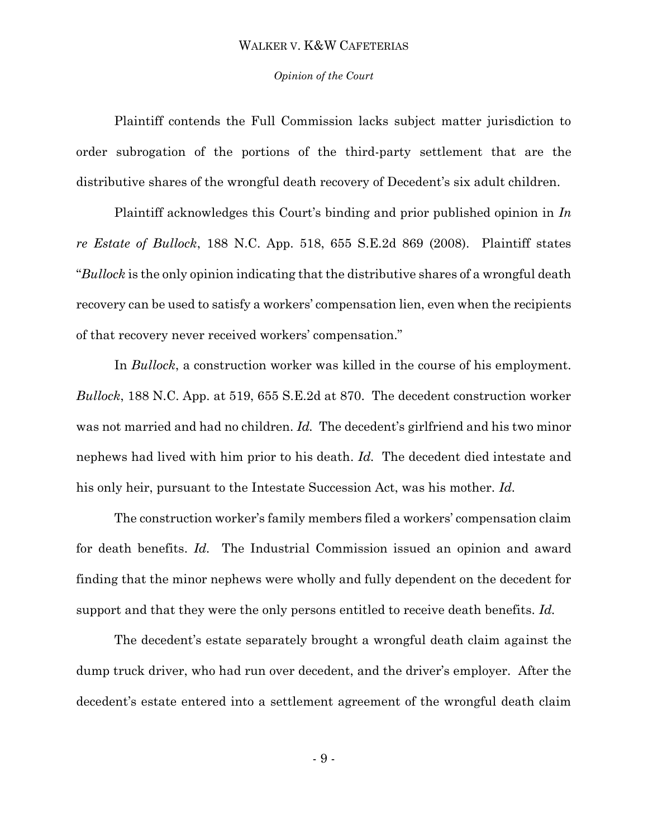#### *Opinion of the Court*

Plaintiff contends the Full Commission lacks subject matter jurisdiction to order subrogation of the portions of the third-party settlement that are the distributive shares of the wrongful death recovery of Decedent's six adult children.

Plaintiff acknowledges this Court's binding and prior published opinion in *In re Estate of Bullock*, 188 N.C. App. 518, 655 S.E.2d 869 (2008). Plaintiff states "*Bullock* is the only opinion indicating that the distributive shares of a wrongful death recovery can be used to satisfy a workers' compensation lien, even when the recipients of that recovery never received workers' compensation."

In *Bullock*, a construction worker was killed in the course of his employment. *Bullock*, 188 N.C. App. at 519, 655 S.E.2d at 870. The decedent construction worker was not married and had no children. *Id.* The decedent's girlfriend and his two minor nephews had lived with him prior to his death. *Id.* The decedent died intestate and his only heir, pursuant to the Intestate Succession Act, was his mother. *Id.* 

The construction worker's family members filed a workers' compensation claim for death benefits. *Id.* The Industrial Commission issued an opinion and award finding that the minor nephews were wholly and fully dependent on the decedent for support and that they were the only persons entitled to receive death benefits. *Id.* 

The decedent's estate separately brought a wrongful death claim against the dump truck driver, who had run over decedent, and the driver's employer. After the decedent's estate entered into a settlement agreement of the wrongful death claim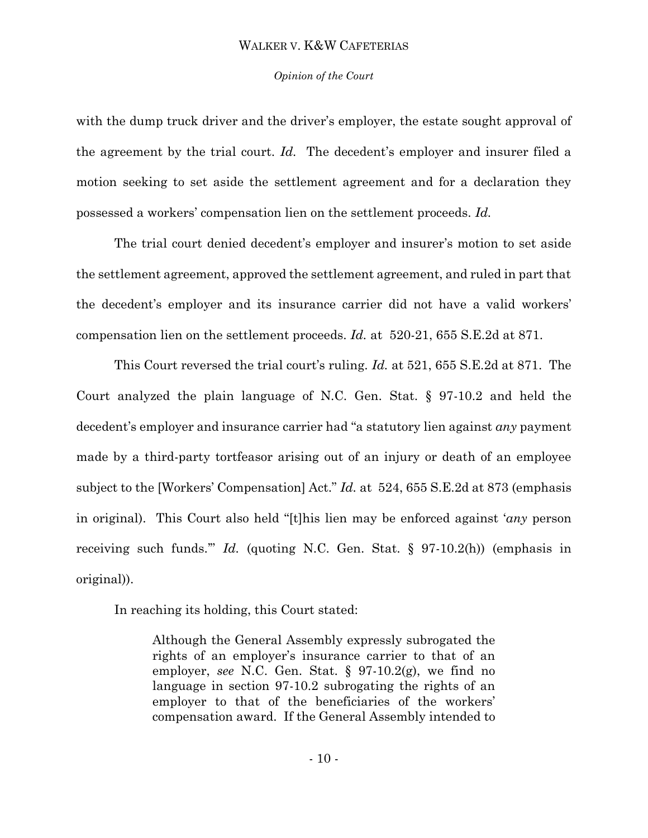#### *Opinion of the Court*

with the dump truck driver and the driver's employer, the estate sought approval of the agreement by the trial court. *Id.* The decedent's employer and insurer filed a motion seeking to set aside the settlement agreement and for a declaration they possessed a workers' compensation lien on the settlement proceeds. *Id.* 

The trial court denied decedent's employer and insurer's motion to set aside the settlement agreement, approved the settlement agreement, and ruled in part that the decedent's employer and its insurance carrier did not have a valid workers' compensation lien on the settlement proceeds. *Id.* at 520-21, 655 S.E.2d at 871.

This Court reversed the trial court's ruling. *Id.* at 521, 655 S.E.2d at 871. The Court analyzed the plain language of N.C. Gen. Stat. § 97-10.2 and held the decedent's employer and insurance carrier had "a statutory lien against *any* payment made by a third-party tortfeasor arising out of an injury or death of an employee subject to the [Workers' Compensation] Act." *Id.* at 524, 655 S.E.2d at 873 (emphasis in original). This Court also held "[t]his lien may be enforced against '*any* person receiving such funds.'" *Id.* (quoting N.C. Gen. Stat. § 97-10.2(h)) (emphasis in original)).

In reaching its holding, this Court stated:

Although the General Assembly expressly subrogated the rights of an employer's insurance carrier to that of an employer, *see* N.C. Gen. Stat. § 97-10.2(g), we find no language in section 97-10.2 subrogating the rights of an employer to that of the beneficiaries of the workers' compensation award. If the General Assembly intended to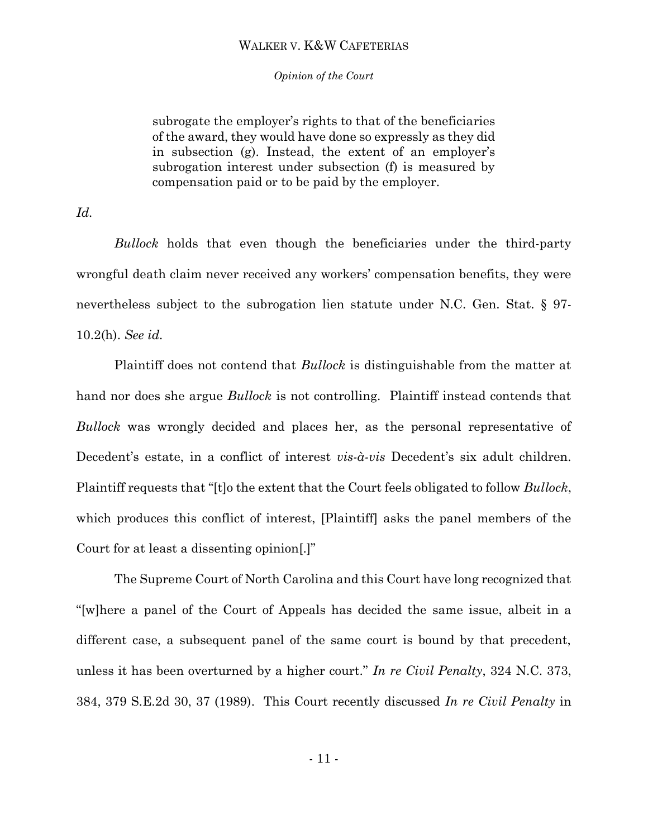*Opinion of the Court*

subrogate the employer's rights to that of the beneficiaries of the award, they would have done so expressly as they did in subsection (g). Instead, the extent of an employer's subrogation interest under subsection (f) is measured by compensation paid or to be paid by the employer.

*Id.* 

*Bullock* holds that even though the beneficiaries under the third-party wrongful death claim never received any workers' compensation benefits, they were nevertheless subject to the subrogation lien statute under N.C. Gen. Stat. § 97- 10.2(h). *See id.* 

Plaintiff does not contend that *Bullock* is distinguishable from the matter at hand nor does she argue *Bullock* is not controlling. Plaintiff instead contends that *Bullock* was wrongly decided and places her, as the personal representative of Decedent's estate, in a conflict of interest *vis-à-vis* Decedent's six adult children. Plaintiff requests that "[t]o the extent that the Court feels obligated to follow *Bullock*, which produces this conflict of interest, [Plaintiff] asks the panel members of the Court for at least a dissenting opinion[.]"

The Supreme Court of North Carolina and this Court have long recognized that "[w]here a panel of the Court of Appeals has decided the same issue, albeit in a different case, a subsequent panel of the same court is bound by that precedent, unless it has been overturned by a higher court." *In re Civil Penalty*, 324 N.C. 373, 384, 379 S.E.2d 30, 37 (1989). This Court recently discussed *In re Civil Penalty* in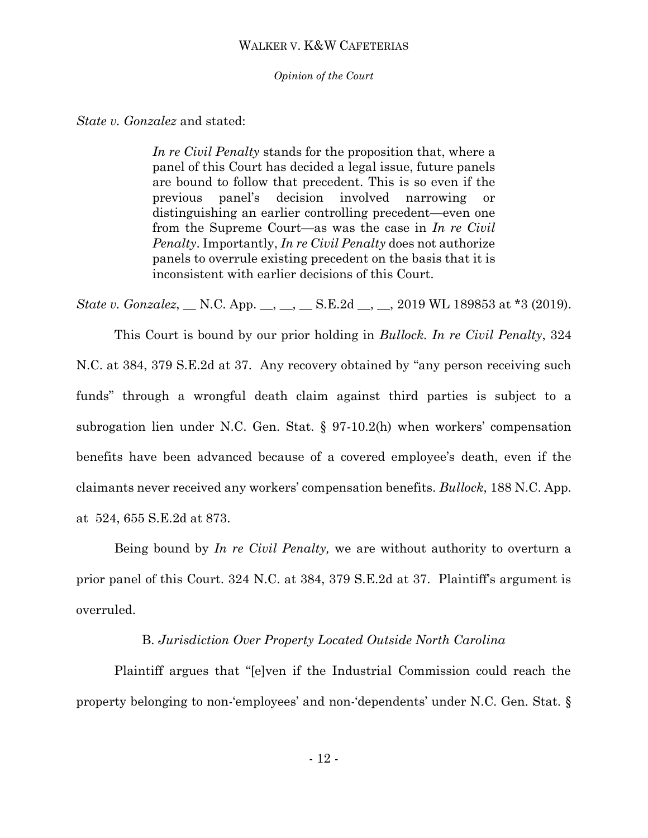*Opinion of the Court*

*State v. Gonzalez* and stated:

*In re Civil Penalty* stands for the proposition that, where a panel of this Court has decided a legal issue, future panels are bound to follow that precedent. This is so even if the previous panel's decision involved narrowing or distinguishing an earlier controlling precedent—even one from the Supreme Court—as was the case in *In re Civil Penalty*. Importantly, *In re Civil Penalty* does not authorize panels to overrule existing precedent on the basis that it is inconsistent with earlier decisions of this Court.

*State v. Gonzalez*, *\_\_ N.C. App. \_\_, \_\_, \_\_ S.E.2d \_\_, \_\_, 2019 WL 189853 at \*3 (2019).* 

This Court is bound by our prior holding in *Bullock. In re Civil Penalty*, 324 N.C. at 384, 379 S.E.2d at 37*.* Any recovery obtained by "any person receiving such funds" through a wrongful death claim against third parties is subject to a subrogation lien under N.C. Gen. Stat. § 97-10.2(h) when workers' compensation benefits have been advanced because of a covered employee's death, even if the claimants never received any workers' compensation benefits. *Bullock*, 188 N.C. App. at 524, 655 S.E.2d at 873.

Being bound by *In re Civil Penalty,* we are without authority to overturn a prior panel of this Court. 324 N.C. at 384, 379 S.E.2d at 37. Plaintiff's argument is overruled.

## B. *Jurisdiction Over Property Located Outside North Carolina*

Plaintiff argues that "[e]ven if the Industrial Commission could reach the property belonging to non-'employees' and non-'dependents' under N.C. Gen. Stat. §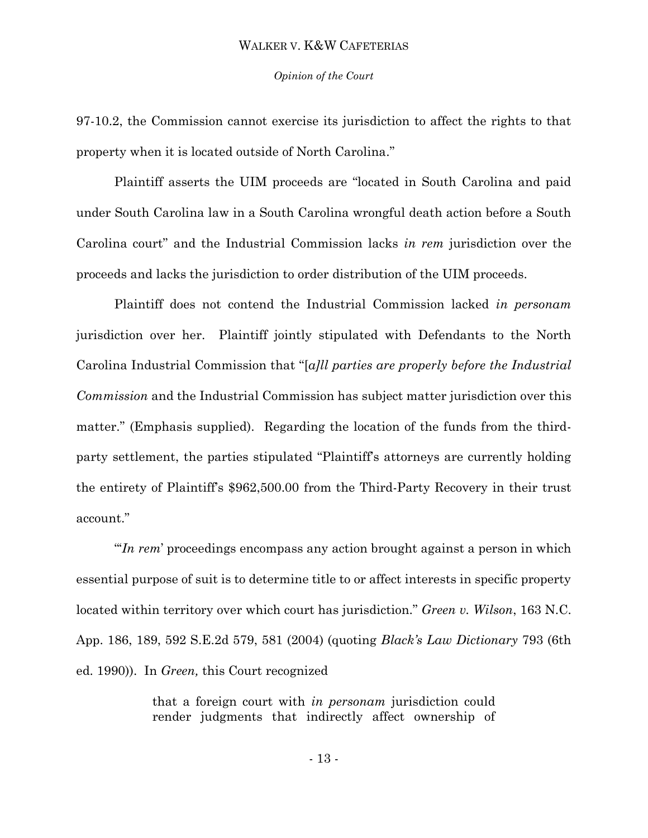#### *Opinion of the Court*

97-10.2, the Commission cannot exercise its jurisdiction to affect the rights to that property when it is located outside of North Carolina."

Plaintiff asserts the UIM proceeds are "located in South Carolina and paid under South Carolina law in a South Carolina wrongful death action before a South Carolina court" and the Industrial Commission lacks *in rem* jurisdiction over the proceeds and lacks the jurisdiction to order distribution of the UIM proceeds.

Plaintiff does not contend the Industrial Commission lacked *in personam*  jurisdiction over her. Plaintiff jointly stipulated with Defendants to the North Carolina Industrial Commission that "[*a]ll parties are properly before the Industrial Commission* and the Industrial Commission has subject matter jurisdiction over this matter." (Emphasis supplied). Regarding the location of the funds from the thirdparty settlement, the parties stipulated "Plaintiff's attorneys are currently holding the entirety of Plaintiff's \$962,500.00 from the Third-Party Recovery in their trust account."

"'*In rem*' proceedings encompass any action brought against a person in which essential purpose of suit is to determine title to or affect interests in specific property located within territory over which court has jurisdiction." *Green v. Wilson*, 163 N.C. App. 186, 189, 592 S.E.2d 579, 581 (2004) (quoting *Black's Law Dictionary* 793 (6th ed. 1990)). In *Green,* this Court recognized

> that a foreign court with *in personam* jurisdiction could render judgments that indirectly affect ownership of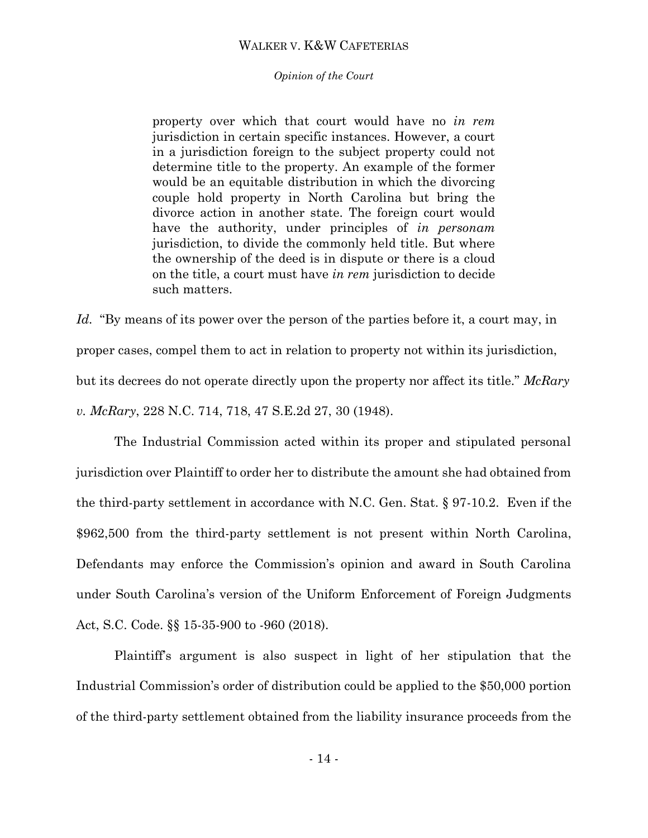*Opinion of the Court*

property over which that court would have no *in rem* jurisdiction in certain specific instances. However, a court in a jurisdiction foreign to the subject property could not determine title to the property. An example of the former would be an equitable distribution in which the divorcing couple hold property in North Carolina but bring the divorce action in another state. The foreign court would have the authority, under principles of *in personam* jurisdiction, to divide the commonly held title. But where the ownership of the deed is in dispute or there is a cloud on the title, a court must have *in rem* jurisdiction to decide such matters.

*Id.* "By means of its power over the person of the parties before it, a court may, in proper cases, compel them to act in relation to property not within its jurisdiction, but its decrees do not operate directly upon the property nor affect its title." *McRary v. McRary*, 228 N.C. 714, 718, 47 S.E.2d 27, 30 (1948).

The Industrial Commission acted within its proper and stipulated personal jurisdiction over Plaintiff to order her to distribute the amount she had obtained from the third-party settlement in accordance with N.C. Gen. Stat. § 97-10.2. Even if the \$962,500 from the third-party settlement is not present within North Carolina, Defendants may enforce the Commission's opinion and award in South Carolina under South Carolina's version of the Uniform Enforcement of Foreign Judgments Act, S.C. Code. §§ 15-35-900 to -960 (2018).

Plaintiff's argument is also suspect in light of her stipulation that the Industrial Commission's order of distribution could be applied to the \$50,000 portion of the third-party settlement obtained from the liability insurance proceeds from the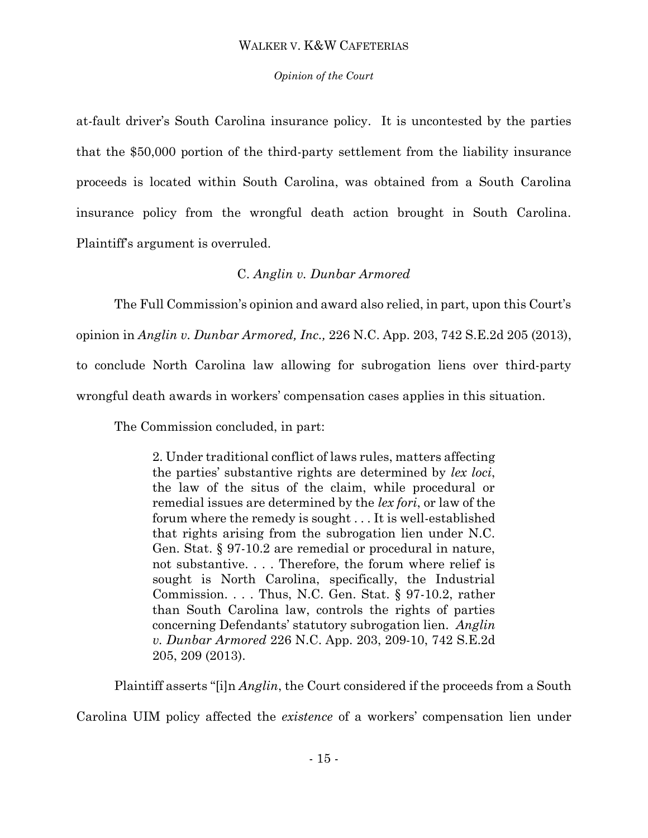## *Opinion of the Court*

at-fault driver's South Carolina insurance policy. It is uncontested by the parties that the \$50,000 portion of the third-party settlement from the liability insurance proceeds is located within South Carolina, was obtained from a South Carolina insurance policy from the wrongful death action brought in South Carolina. Plaintiff's argument is overruled.

# C. *Anglin v. Dunbar Armored*

The Full Commission's opinion and award also relied, in part, upon this Court's

opinion in *Anglin v. Dunbar Armored, Inc.,* 226 N.C. App. 203, 742 S.E.2d 205 (2013),

to conclude North Carolina law allowing for subrogation liens over third-party

wrongful death awards in workers' compensation cases applies in this situation.

The Commission concluded, in part:

2. Under traditional conflict of laws rules, matters affecting the parties' substantive rights are determined by *lex loci*, the law of the situs of the claim, while procedural or remedial issues are determined by the *lex fori*, or law of the forum where the remedy is sought . . . It is well-established that rights arising from the subrogation lien under N.C. Gen. Stat. § 97-10.2 are remedial or procedural in nature, not substantive. . . . Therefore, the forum where relief is sought is North Carolina, specifically, the Industrial Commission. . . . Thus, N.C. Gen. Stat. § 97-10.2, rather than South Carolina law, controls the rights of parties concerning Defendants' statutory subrogation lien. *Anglin v. Dunbar Armored* 226 N.C. App. 203, 209-10, 742 S.E.2d 205, 209 (2013).

Plaintiff asserts "[i]n *Anglin*, the Court considered if the proceeds from a South

Carolina UIM policy affected the *existence* of a workers' compensation lien under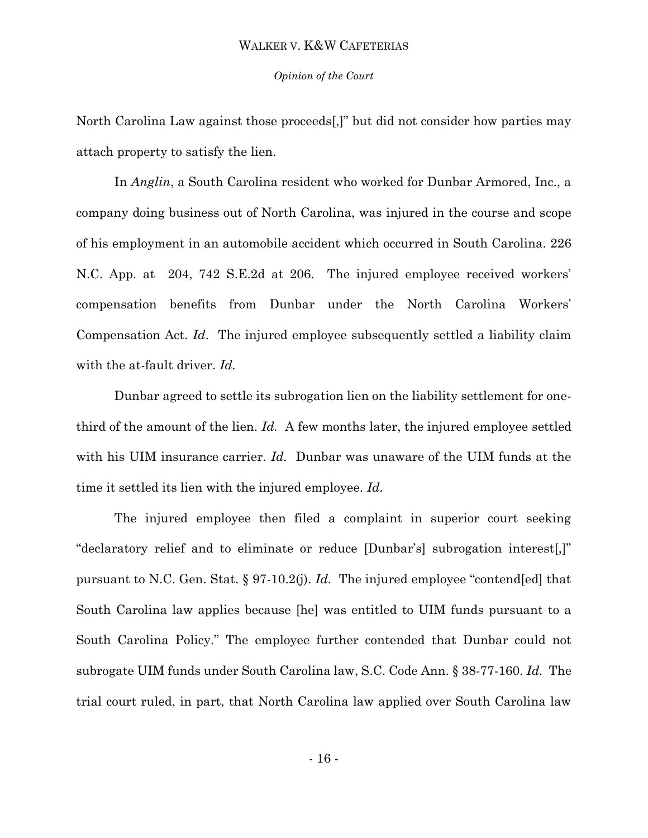#### *Opinion of the Court*

North Carolina Law against those proceeds[,]" but did not consider how parties may attach property to satisfy the lien.

In *Anglin*, a South Carolina resident who worked for Dunbar Armored, Inc., a company doing business out of North Carolina, was injured in the course and scope of his employment in an automobile accident which occurred in South Carolina. 226 N.C. App. at 204, 742 S.E.2d at 206. The injured employee received workers' compensation benefits from Dunbar under the North Carolina Workers' Compensation Act. *Id*. The injured employee subsequently settled a liability claim with the at-fault driver. *Id.* 

Dunbar agreed to settle its subrogation lien on the liability settlement for onethird of the amount of the lien. *Id.* A few months later, the injured employee settled with his UIM insurance carrier. *Id.* Dunbar was unaware of the UIM funds at the time it settled its lien with the injured employee. *Id.* 

The injured employee then filed a complaint in superior court seeking "declaratory relief and to eliminate or reduce [Dunbar's] subrogation interest[,]" pursuant to N.C. Gen. Stat. § 97-10.2(j). *Id.* The injured employee "contend[ed] that South Carolina law applies because [he] was entitled to UIM funds pursuant to a South Carolina Policy." The employee further contended that Dunbar could not subrogate UIM funds under South Carolina law, S.C. Code Ann. § 38-77-160. *Id.* The trial court ruled, in part, that North Carolina law applied over South Carolina law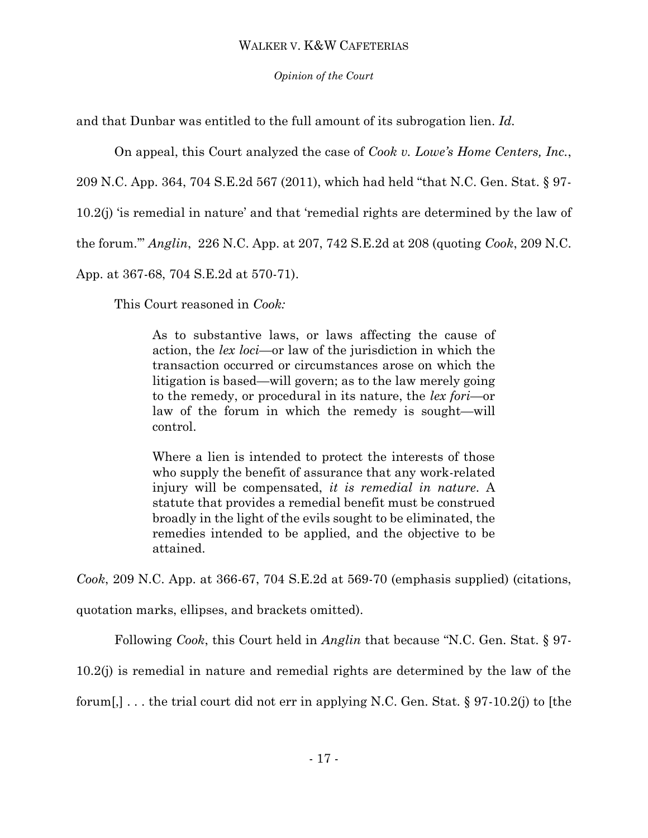## *Opinion of the Court*

and that Dunbar was entitled to the full amount of its subrogation lien. *Id.* 

On appeal, this Court analyzed the case of *Cook v. Lowe's Home Centers, Inc.*,

209 N.C. App. 364, 704 S.E.2d 567 (2011), which had held "that N.C. Gen. Stat. § 97-

10.2(j) 'is remedial in nature' and that 'remedial rights are determined by the law of

the forum.'" *Anglin*, 226 N.C. App. at 207, 742 S.E.2d at 208 (quoting *Cook*, 209 N.C.

App. at 367-68, 704 S.E.2d at 570-71).

This Court reasoned in *Cook:*

As to substantive laws, or laws affecting the cause of action, the *lex loci*—or law of the jurisdiction in which the transaction occurred or circumstances arose on which the litigation is based—will govern; as to the law merely going to the remedy, or procedural in its nature, the *lex fori*—or law of the forum in which the remedy is sought—will control.

Where a lien is intended to protect the interests of those who supply the benefit of assurance that any work-related injury will be compensated, *it is remedial in nature*. A statute that provides a remedial benefit must be construed broadly in the light of the evils sought to be eliminated, the remedies intended to be applied, and the objective to be attained.

*Cook*, 209 N.C. App. at 366-67, 704 S.E.2d at 569-70 (emphasis supplied) (citations,

quotation marks, ellipses, and brackets omitted).

Following *Cook*, this Court held in *Anglin* that because "N.C. Gen. Stat. § 97-

10.2(j) is remedial in nature and remedial rights are determined by the law of the

forum[,] ... the trial court did not err in applying N.C. Gen. Stat.  $\S 97-10.2(j)$  to [the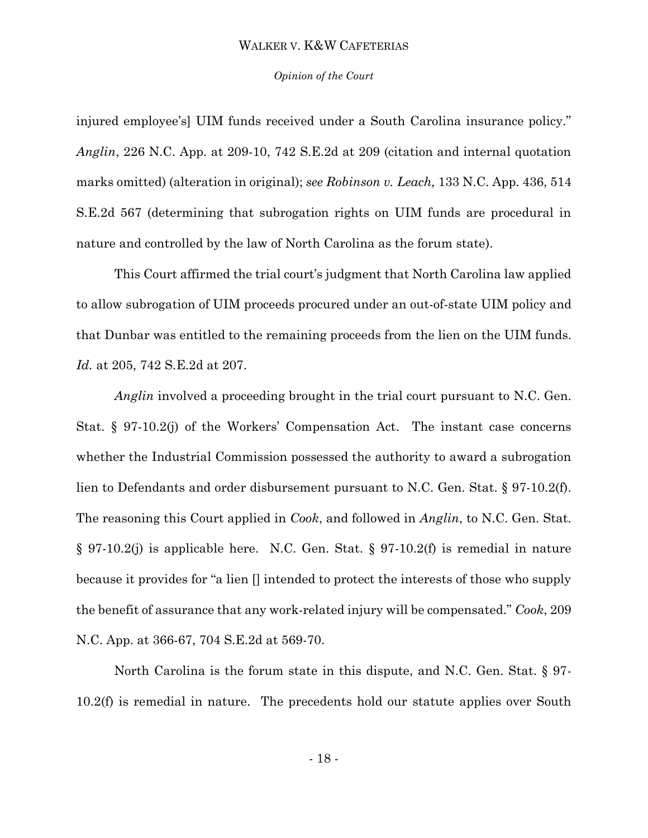#### *Opinion of the Court*

injured employee's] UIM funds received under a South Carolina insurance policy." *Anglin*, 226 N.C. App. at 209-10, 742 S.E.2d at 209 (citation and internal quotation marks omitted) (alteration in original); *see Robinson v. Leach,* 133 N.C. App. 436, 514 S.E.2d 567 (determining that subrogation rights on UIM funds are procedural in nature and controlled by the law of North Carolina as the forum state).

This Court affirmed the trial court's judgment that North Carolina law applied to allow subrogation of UIM proceeds procured under an out-of-state UIM policy and that Dunbar was entitled to the remaining proceeds from the lien on the UIM funds. *Id.* at 205, 742 S.E.2d at 207.

*Anglin* involved a proceeding brought in the trial court pursuant to N.C. Gen. Stat. § 97-10.2(j) of the Workers' Compensation Act. The instant case concerns whether the Industrial Commission possessed the authority to award a subrogation lien to Defendants and order disbursement pursuant to N.C. Gen. Stat. § 97-10.2(f). The reasoning this Court applied in *Cook*, and followed in *Anglin*, to N.C. Gen. Stat. § 97-10.2(j) is applicable here. N.C. Gen. Stat. § 97-10.2(f) is remedial in nature because it provides for "a lien [] intended to protect the interests of those who supply the benefit of assurance that any work-related injury will be compensated." *Cook*, 209 N.C. App. at 366-67, 704 S.E.2d at 569-70.

North Carolina is the forum state in this dispute, and N.C. Gen. Stat. § 97- 10.2(f) is remedial in nature. The precedents hold our statute applies over South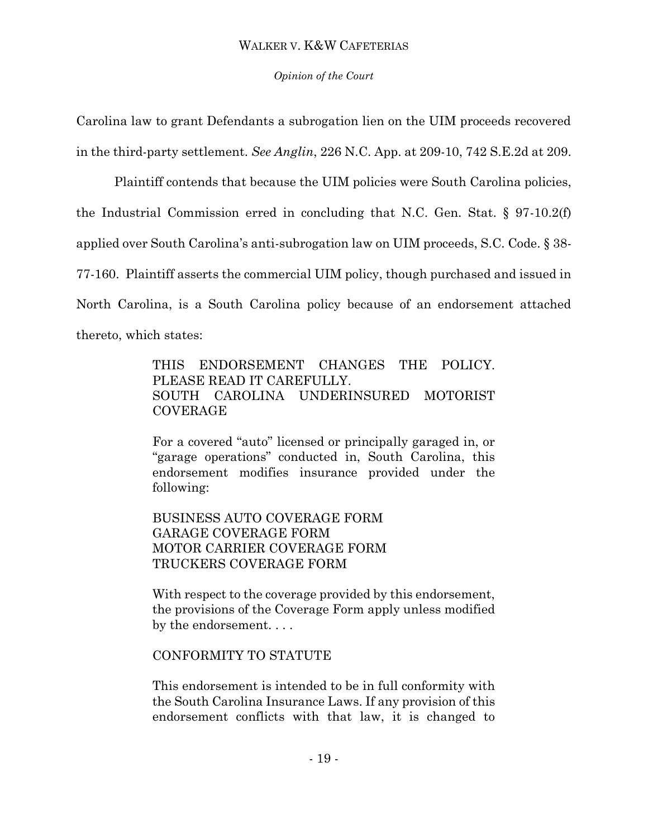## *Opinion of the Court*

Carolina law to grant Defendants a subrogation lien on the UIM proceeds recovered in the third-party settlement. *See Anglin*, 226 N.C. App. at 209-10, 742 S.E.2d at 209.

Plaintiff contends that because the UIM policies were South Carolina policies, the Industrial Commission erred in concluding that N.C. Gen. Stat. § 97-10.2(f) applied over South Carolina's anti-subrogation law on UIM proceeds, S.C. Code. § 38- 77-160. Plaintiff asserts the commercial UIM policy, though purchased and issued in North Carolina, is a South Carolina policy because of an endorsement attached thereto, which states:

> THIS ENDORSEMENT CHANGES THE POLICY. PLEASE READ IT CAREFULLY. SOUTH CAROLINA UNDERINSURED MOTORIST COVERAGE

> For a covered "auto" licensed or principally garaged in, or "garage operations" conducted in, South Carolina, this endorsement modifies insurance provided under the following:

BUSINESS AUTO COVERAGE FORM GARAGE COVERAGE FORM MOTOR CARRIER COVERAGE FORM TRUCKERS COVERAGE FORM

With respect to the coverage provided by this endorsement, the provisions of the Coverage Form apply unless modified by the endorsement. . . .

## CONFORMITY TO STATUTE

This endorsement is intended to be in full conformity with the South Carolina Insurance Laws. If any provision of this endorsement conflicts with that law, it is changed to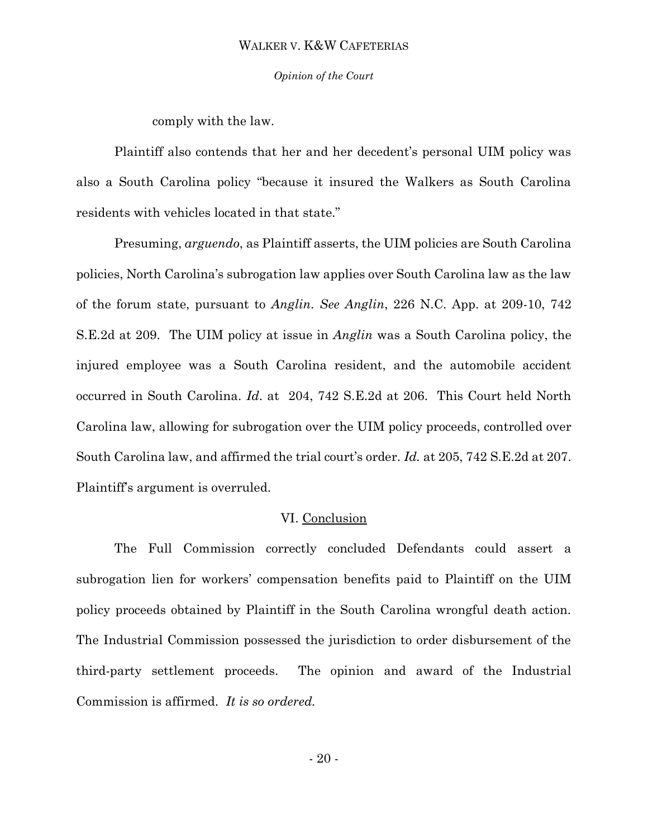*Opinion of the Court*

comply with the law.

Plaintiff also contends that her and her decedent's personal UIM policy was also a South Carolina policy "because it insured the Walkers as South Carolina residents with vehicles located in that state."

Presuming, *arguendo*, as Plaintiff asserts, the UIM policies are South Carolina policies, North Carolina's subrogation law applies over South Carolina law as the law of the forum state, pursuant to *Anglin*. *See Anglin*, 226 N.C. App. at 209-10, 742 S.E.2d at 209. The UIM policy at issue in *Anglin* was a South Carolina policy, the injured employee was a South Carolina resident, and the automobile accident occurred in South Carolina. *Id*. at 204, 742 S.E.2d at 206. This Court held North Carolina law, allowing for subrogation over the UIM policy proceeds, controlled over South Carolina law, and affirmed the trial court's order. *Id.* at 205, 742 S.E.2d at 207. Plaintiff's argument is overruled.

### VI. Conclusion

The Full Commission correctly concluded Defendants could assert a subrogation lien for workers' compensation benefits paid to Plaintiff on the UIM policy proceeds obtained by Plaintiff in the South Carolina wrongful death action. The Industrial Commission possessed the jurisdiction to order disbursement of the third-party settlement proceeds. The opinion and award of the Industrial Commission is affirmed. *It is so ordered.*